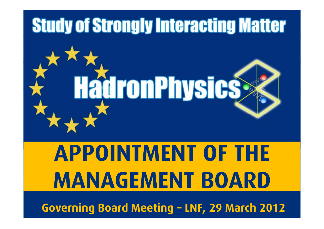

# **APPOINTMENT OF THE MANAGEMENT BOARD**

**Governing Board Meeting – LNF, 29 March 2012**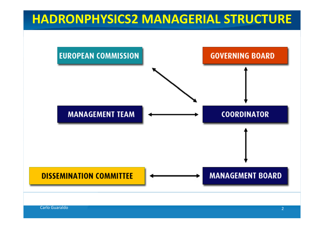### **HADRONPHYSICS2 MANAGERIAL STRUCTURE**

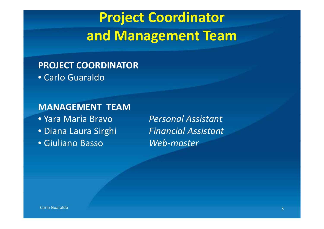## **Project Coordinator and Management Team**

**PROJECT COORDINATOR** • Carlo Guaraldo

**MANAGEMENT TEAM** • Yara Maria Bravo• Diana• Giuliano

 *Personal Assistant* Laura Sirghi *Financial Assistant* Basso *W be ‐master*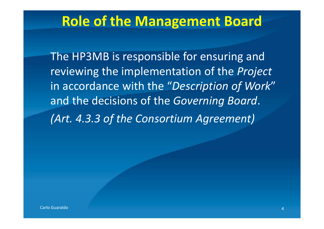### **Role of the Management Board**

The HP3MB is responsible for ensuring and reviewing the implementation of the *Project* in accordance with the "*Description of Work*" and the decisions of the *Governing Board*. *(Art. 4.3.3 of the Consortium Agreement)*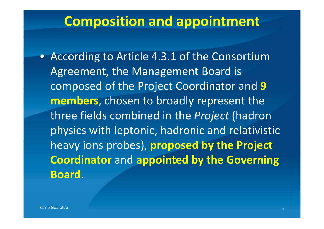### **Composition and appointment**

• According to Article 4.3.1 of the Consortium Agreement, the Management Board is composed of the Project Coordinator and **9 members**, chosen to broadly represent the three fields combined in the *Project* (hadron physics with leptonic, hadronic and relativistic heavy ions probes), **proposed by the Project Coordinator** and **appointed by the Governing Board**.